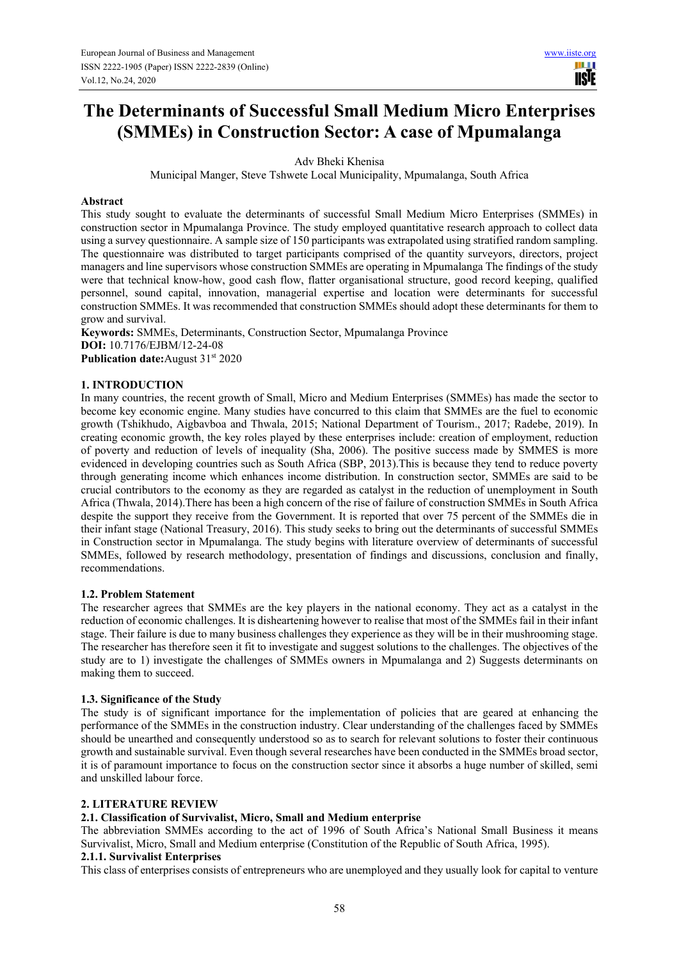HI H **USIE** 

# **The Determinants of Successful Small Medium Micro Enterprises (SMMEs) in Construction Sector: A case of Mpumalanga**

Adv Bheki Khenisa

Municipal Manger, Steve Tshwete Local Municipality, Mpumalanga, South Africa

#### **Abstract**

This study sought to evaluate the determinants of successful Small Medium Micro Enterprises (SMMEs) in construction sector in Mpumalanga Province. The study employed quantitative research approach to collect data using a survey questionnaire. A sample size of 150 participants was extrapolated using stratified random sampling. The questionnaire was distributed to target participants comprised of the quantity surveyors, directors, project managers and line supervisors whose construction SMMEs are operating in Mpumalanga The findings of the study were that technical know-how, good cash flow, flatter organisational structure, good record keeping, qualified personnel, sound capital, innovation, managerial expertise and location were determinants for successful construction SMMEs. It was recommended that construction SMMEs should adopt these determinants for them to grow and survival.

**Keywords:** SMMEs, Determinants, Construction Sector, Mpumalanga Province **DOI:** 10.7176/EJBM/12-24-08 **Publication date:**August 31<sup>st</sup> 2020

## **1. INTRODUCTION**

In many countries, the recent growth of Small, Micro and Medium Enterprises (SMMEs) has made the sector to become key economic engine. Many studies have concurred to this claim that SMMEs are the fuel to economic growth (Tshikhudo, Aigbavboa and Thwala, 2015; National Department of Tourism., 2017; Radebe, 2019). In creating economic growth, the key roles played by these enterprises include: creation of employment, reduction of poverty and reduction of levels of inequality (Sha, 2006). The positive success made by SMMES is more evidenced in developing countries such as South Africa (SBP, 2013).This is because they tend to reduce poverty through generating income which enhances income distribution. In construction sector, SMMEs are said to be crucial contributors to the economy as they are regarded as catalyst in the reduction of unemployment in South Africa (Thwala, 2014).There has been a high concern of the rise of failure of construction SMMEs in South Africa despite the support they receive from the Government. It is reported that over 75 percent of the SMMEs die in their infant stage (National Treasury, 2016). This study seeks to bring out the determinants of successful SMMEs in Construction sector in Mpumalanga. The study begins with literature overview of determinants of successful SMMEs, followed by research methodology, presentation of findings and discussions, conclusion and finally, recommendations.

#### **1.2. Problem Statement**

The researcher agrees that SMMEs are the key players in the national economy. They act as a catalyst in the reduction of economic challenges. It is disheartening however to realise that most of the SMMEs fail in their infant stage. Their failure is due to many business challenges they experience as they will be in their mushrooming stage. The researcher has therefore seen it fit to investigate and suggest solutions to the challenges. The objectives of the study are to 1) investigate the challenges of SMMEs owners in Mpumalanga and 2) Suggests determinants on making them to succeed.

#### **1.3. Significance of the Study**

The study is of significant importance for the implementation of policies that are geared at enhancing the performance of the SMMEs in the construction industry. Clear understanding of the challenges faced by SMMEs should be unearthed and consequently understood so as to search for relevant solutions to foster their continuous growth and sustainable survival. Even though several researches have been conducted in the SMMEs broad sector, it is of paramount importance to focus on the construction sector since it absorbs a huge number of skilled, semi and unskilled labour force.

## **2. LITERATURE REVIEW**

## **2.1. Classification of Survivalist, Micro, Small and Medium enterprise**

The abbreviation SMMEs according to the act of 1996 of South Africa's National Small Business it means Survivalist, Micro, Small and Medium enterprise (Constitution of the Republic of South Africa, 1995).

#### **2.1.1. Survivalist Enterprises**

This class of enterprises consists of entrepreneurs who are unemployed and they usually look for capital to venture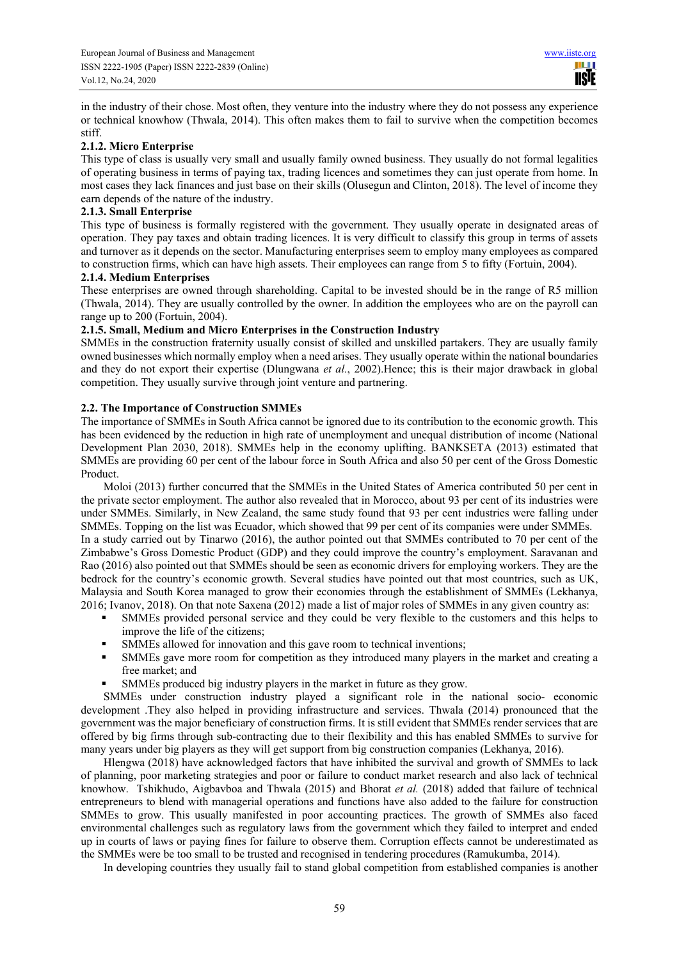in the industry of their chose. Most often, they venture into the industry where they do not possess any experience or technical knowhow (Thwala, 2014). This often makes them to fail to survive when the competition becomes stiff.

# **2.1.2. Micro Enterprise**

This type of class is usually very small and usually family owned business. They usually do not formal legalities of operating business in terms of paying tax, trading licences and sometimes they can just operate from home. In most cases they lack finances and just base on their skills (Olusegun and Clinton, 2018). The level of income they earn depends of the nature of the industry.

## **2.1.3. Small Enterprise**

This type of business is formally registered with the government. They usually operate in designated areas of operation. They pay taxes and obtain trading licences. It is very difficult to classify this group in terms of assets and turnover as it depends on the sector. Manufacturing enterprises seem to employ many employees as compared to construction firms, which can have high assets. Their employees can range from 5 to fifty (Fortuin, 2004).

## **2.1.4. Medium Enterprises**

These enterprises are owned through shareholding. Capital to be invested should be in the range of R5 million (Thwala, 2014). They are usually controlled by the owner. In addition the employees who are on the payroll can range up to 200 (Fortuin, 2004).

## **2.1.5. Small, Medium and Micro Enterprises in the Construction Industry**

SMMEs in the construction fraternity usually consist of skilled and unskilled partakers. They are usually family owned businesses which normally employ when a need arises. They usually operate within the national boundaries and they do not export their expertise (Dlungwana *et al.*, 2002).Hence; this is their major drawback in global competition. They usually survive through joint venture and partnering.

# **2.2. The Importance of Construction SMMEs**

The importance of SMMEs in South Africa cannot be ignored due to its contribution to the economic growth. This has been evidenced by the reduction in high rate of unemployment and unequal distribution of income (National Development Plan 2030, 2018). SMMEs help in the economy uplifting. BANKSETA (2013) estimated that SMMEs are providing 60 per cent of the labour force in South Africa and also 50 per cent of the Gross Domestic Product.

Moloi (2013) further concurred that the SMMEs in the United States of America contributed 50 per cent in the private sector employment. The author also revealed that in Morocco, about 93 per cent of its industries were under SMMEs. Similarly, in New Zealand, the same study found that 93 per cent industries were falling under SMMEs. Topping on the list was Ecuador, which showed that 99 per cent of its companies were under SMMEs. In a study carried out by Tinarwo (2016), the author pointed out that SMMEs contributed to 70 per cent of the Zimbabwe's Gross Domestic Product (GDP) and they could improve the country's employment. Saravanan and Rao (2016) also pointed out that SMMEs should be seen as economic drivers for employing workers. They are the bedrock for the country's economic growth. Several studies have pointed out that most countries, such as UK, Malaysia and South Korea managed to grow their economies through the establishment of SMMEs (Lekhanya, 2016; Ivanov, 2018). On that note Saxena (2012) made a list of major roles of SMMEs in any given country as:

- SMMEs provided personal service and they could be very flexible to the customers and this helps to improve the life of the citizens;
- SMMEs allowed for innovation and this gave room to technical inventions;
- SMMEs gave more room for competition as they introduced many players in the market and creating a free market; and
- SMMEs produced big industry players in the market in future as they grow.

SMMEs under construction industry played a significant role in the national socio- economic development .They also helped in providing infrastructure and services. Thwala (2014) pronounced that the government was the major beneficiary of construction firms. It is still evident that SMMEs render services that are offered by big firms through sub-contracting due to their flexibility and this has enabled SMMEs to survive for many years under big players as they will get support from big construction companies (Lekhanya, 2016).

Hlengwa (2018) have acknowledged factors that have inhibited the survival and growth of SMMEs to lack of planning, poor marketing strategies and poor or failure to conduct market research and also lack of technical knowhow. Tshikhudo, Aigbavboa and Thwala (2015) and Bhorat *et al.* (2018) added that failure of technical entrepreneurs to blend with managerial operations and functions have also added to the failure for construction SMMEs to grow. This usually manifested in poor accounting practices. The growth of SMMEs also faced environmental challenges such as regulatory laws from the government which they failed to interpret and ended up in courts of laws or paying fines for failure to observe them. Corruption effects cannot be underestimated as the SMMEs were be too small to be trusted and recognised in tendering procedures (Ramukumba, 2014).

In developing countries they usually fail to stand global competition from established companies is another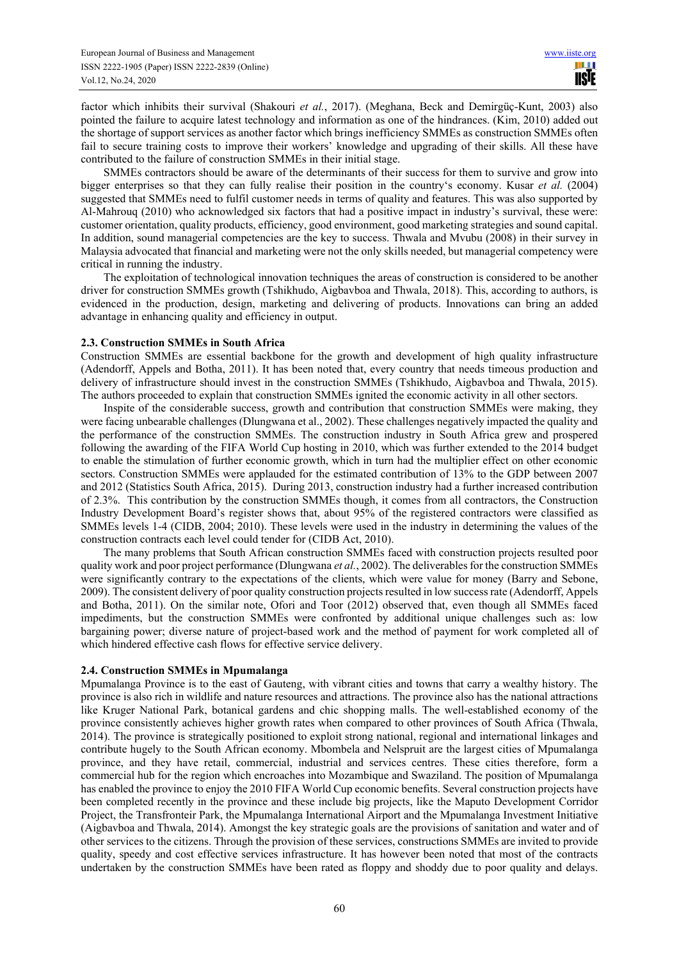factor which inhibits their survival (Shakouri *et al.*, 2017). (Meghana, Beck and Demirgüç-Kunt, 2003) also pointed the failure to acquire latest technology and information as one of the hindrances. (Kim, 2010) added out the shortage of support services as another factor which brings inefficiency SMMEs as construction SMMEs often fail to secure training costs to improve their workers' knowledge and upgrading of their skills. All these have contributed to the failure of construction SMMEs in their initial stage.

SMMEs contractors should be aware of the determinants of their success for them to survive and grow into bigger enterprises so that they can fully realise their position in the country's economy. Kusar *et al.* (2004) suggested that SMMEs need to fulfil customer needs in terms of quality and features. This was also supported by Al-Mahrouq (2010) who acknowledged six factors that had a positive impact in industry's survival, these were: customer orientation, quality products, efficiency, good environment, good marketing strategies and sound capital. In addition, sound managerial competencies are the key to success. Thwala and Mvubu (2008) in their survey in Malaysia advocated that financial and marketing were not the only skills needed, but managerial competency were critical in running the industry.

The exploitation of technological innovation techniques the areas of construction is considered to be another driver for construction SMMEs growth (Tshikhudo, Aigbavboa and Thwala, 2018). This, according to authors, is evidenced in the production, design, marketing and delivering of products. Innovations can bring an added advantage in enhancing quality and efficiency in output.

## **2.3. Construction SMMEs in South Africa**

Construction SMMEs are essential backbone for the growth and development of high quality infrastructure (Adendorff, Appels and Botha, 2011). It has been noted that, every country that needs timeous production and delivery of infrastructure should invest in the construction SMMEs (Tshikhudo, Aigbavboa and Thwala, 2015). The authors proceeded to explain that construction SMMEs ignited the economic activity in all other sectors.

Inspite of the considerable success, growth and contribution that construction SMMEs were making, they were facing unbearable challenges (Dlungwana et al., 2002). These challenges negatively impacted the quality and the performance of the construction SMMEs. The construction industry in South Africa grew and prospered following the awarding of the FIFA World Cup hosting in 2010, which was further extended to the 2014 budget to enable the stimulation of further economic growth, which in turn had the multiplier effect on other economic sectors. Construction SMMEs were applauded for the estimated contribution of 13% to the GDP between 2007 and 2012 (Statistics South Africa, 2015). During 2013, construction industry had a further increased contribution of 2.3%. This contribution by the construction SMMEs though, it comes from all contractors, the Construction Industry Development Board's register shows that, about 95% of the registered contractors were classified as SMMEs levels 1-4 (CIDB, 2004; 2010). These levels were used in the industry in determining the values of the construction contracts each level could tender for (CIDB Act, 2010).

The many problems that South African construction SMMEs faced with construction projects resulted poor quality work and poor project performance (Dlungwana *et al.*, 2002). The deliverables for the construction SMMEs were significantly contrary to the expectations of the clients, which were value for money (Barry and Sebone, 2009). The consistent delivery of poor quality construction projects resulted in low success rate (Adendorff, Appels and Botha, 2011). On the similar note, Ofori and Toor (2012) observed that, even though all SMMEs faced impediments, but the construction SMMEs were confronted by additional unique challenges such as: low bargaining power; diverse nature of project-based work and the method of payment for work completed all of which hindered effective cash flows for effective service delivery.

## **2.4. Construction SMMEs in Mpumalanga**

Mpumalanga Province is to the east of Gauteng, with vibrant cities and towns that carry a wealthy history. The province is also rich in wildlife and nature resources and attractions. The province also has the national attractions like Kruger National Park, botanical gardens and chic shopping malls. The well-established economy of the province consistently achieves higher growth rates when compared to other provinces of South Africa (Thwala, 2014). The province is strategically positioned to exploit strong national, regional and international linkages and contribute hugely to the South African economy. Mbombela and Nelspruit are the largest cities of Mpumalanga province, and they have retail, commercial, industrial and services centres. These cities therefore, form a commercial hub for the region which encroaches into Mozambique and Swaziland. The position of Mpumalanga has enabled the province to enjoy the 2010 FIFA World Cup economic benefits. Several construction projects have been completed recently in the province and these include big projects, like the Maputo Development Corridor Project, the Transfronteir Park, the Mpumalanga International Airport and the Mpumalanga Investment Initiative (Aigbavboa and Thwala, 2014). Amongst the key strategic goals are the provisions of sanitation and water and of other services to the citizens. Through the provision of these services, constructions SMMEs are invited to provide quality, speedy and cost effective services infrastructure. It has however been noted that most of the contracts undertaken by the construction SMMEs have been rated as floppy and shoddy due to poor quality and delays.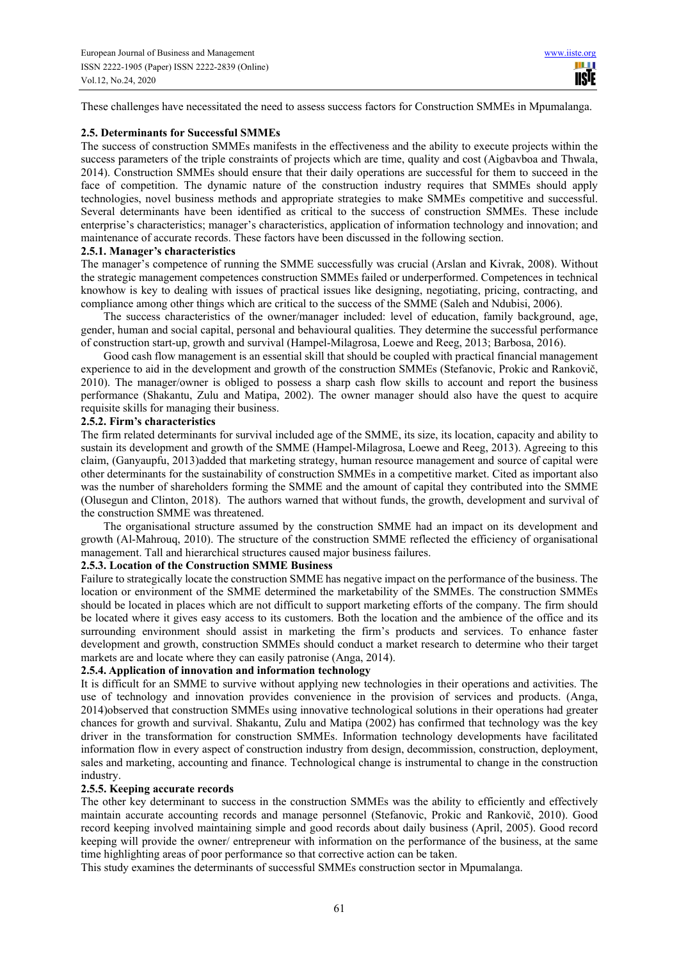These challenges have necessitated the need to assess success factors for Construction SMMEs in Mpumalanga.

#### **2.5. Determinants for Successful SMMEs**

The success of construction SMMEs manifests in the effectiveness and the ability to execute projects within the success parameters of the triple constraints of projects which are time, quality and cost (Aigbavboa and Thwala, 2014). Construction SMMEs should ensure that their daily operations are successful for them to succeed in the face of competition. The dynamic nature of the construction industry requires that SMMEs should apply technologies, novel business methods and appropriate strategies to make SMMEs competitive and successful. Several determinants have been identified as critical to the success of construction SMMEs. These include enterprise's characteristics; manager's characteristics, application of information technology and innovation; and maintenance of accurate records. These factors have been discussed in the following section.

#### **2.5.1. Manager's characteristics**

The manager's competence of running the SMME successfully was crucial (Arslan and Kivrak, 2008). Without the strategic management competences construction SMMEs failed or underperformed. Competences in technical knowhow is key to dealing with issues of practical issues like designing, negotiating, pricing, contracting, and compliance among other things which are critical to the success of the SMME (Saleh and Ndubisi, 2006).

The success characteristics of the owner/manager included: level of education, family background, age, gender, human and social capital, personal and behavioural qualities. They determine the successful performance of construction start-up, growth and survival (Hampel-Milagrosa, Loewe and Reeg, 2013; Barbosa, 2016).

Good cash flow management is an essential skill that should be coupled with practical financial management experience to aid in the development and growth of the construction SMMEs (Stefanovic, Prokic and Rankovič, 2010). The manager/owner is obliged to possess a sharp cash flow skills to account and report the business performance (Shakantu, Zulu and Matipa, 2002). The owner manager should also have the quest to acquire requisite skills for managing their business.

## **2.5.2. Firm's characteristics**

The firm related determinants for survival included age of the SMME, its size, its location, capacity and ability to sustain its development and growth of the SMME (Hampel-Milagrosa, Loewe and Reeg, 2013). Agreeing to this claim, (Ganyaupfu, 2013)added that marketing strategy, human resource management and source of capital were other determinants for the sustainability of construction SMMEs in a competitive market. Cited as important also was the number of shareholders forming the SMME and the amount of capital they contributed into the SMME (Olusegun and Clinton, 2018). The authors warned that without funds, the growth, development and survival of the construction SMME was threatened.

The organisational structure assumed by the construction SMME had an impact on its development and growth (Al-Mahrouq, 2010). The structure of the construction SMME reflected the efficiency of organisational management. Tall and hierarchical structures caused major business failures.

## **2.5.3. Location of the Construction SMME Business**

Failure to strategically locate the construction SMME has negative impact on the performance of the business. The location or environment of the SMME determined the marketability of the SMMEs. The construction SMMEs should be located in places which are not difficult to support marketing efforts of the company. The firm should be located where it gives easy access to its customers. Both the location and the ambience of the office and its surrounding environment should assist in marketing the firm's products and services. To enhance faster development and growth, construction SMMEs should conduct a market research to determine who their target markets are and locate where they can easily patronise (Anga, 2014).

## **2.5.4. Application of innovation and information technology**

It is difficult for an SMME to survive without applying new technologies in their operations and activities. The use of technology and innovation provides convenience in the provision of services and products. (Anga, 2014)observed that construction SMMEs using innovative technological solutions in their operations had greater chances for growth and survival. Shakantu, Zulu and Matipa (2002) has confirmed that technology was the key driver in the transformation for construction SMMEs. Information technology developments have facilitated information flow in every aspect of construction industry from design, decommission, construction, deployment, sales and marketing, accounting and finance. Technological change is instrumental to change in the construction industry.

#### **2.5.5. Keeping accurate records**

The other key determinant to success in the construction SMMEs was the ability to efficiently and effectively maintain accurate accounting records and manage personnel (Stefanovic, Prokic and Rankovič, 2010). Good record keeping involved maintaining simple and good records about daily business (April, 2005). Good record keeping will provide the owner/ entrepreneur with information on the performance of the business, at the same time highlighting areas of poor performance so that corrective action can be taken.

This study examines the determinants of successful SMMEs construction sector in Mpumalanga.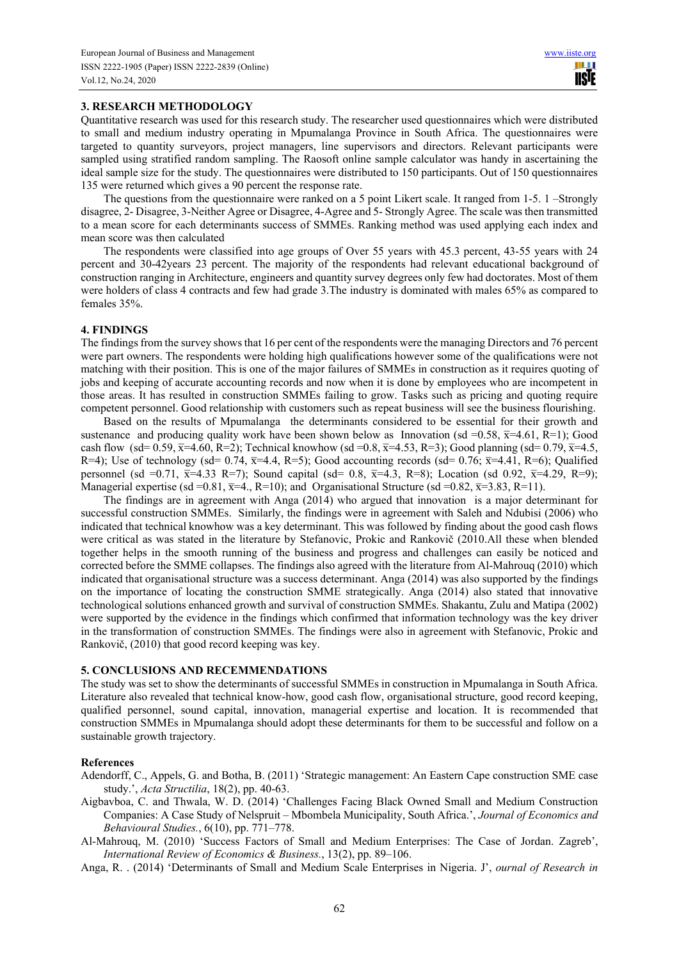#### **3. RESEARCH METHODOLOGY**

Quantitative research was used for this research study. The researcher used questionnaires which were distributed to small and medium industry operating in Mpumalanga Province in South Africa. The questionnaires were targeted to quantity surveyors, project managers, line supervisors and directors. Relevant participants were sampled using stratified random sampling. The Raosoft online sample calculator was handy in ascertaining the ideal sample size for the study. The questionnaires were distributed to 150 participants. Out of 150 questionnaires 135 were returned which gives a 90 percent the response rate.

The questions from the questionnaire were ranked on a 5 point Likert scale. It ranged from 1-5. 1 –Strongly disagree, 2- Disagree, 3-Neither Agree or Disagree, 4-Agree and 5- Strongly Agree. The scale was then transmitted to a mean score for each determinants success of SMMEs. Ranking method was used applying each index and mean score was then calculated

The respondents were classified into age groups of Over 55 years with 45.3 percent, 43-55 years with 24 percent and 30-42years 23 percent. The majority of the respondents had relevant educational background of construction ranging in Architecture, engineers and quantity survey degrees only few had doctorates. Most of them were holders of class 4 contracts and few had grade 3.The industry is dominated with males 65% as compared to females 35%.

#### **4. FINDINGS**

The findings from the survey shows that 16 per cent of the respondents were the managing Directors and 76 percent were part owners. The respondents were holding high qualifications however some of the qualifications were not matching with their position. This is one of the major failures of SMMEs in construction as it requires quoting of jobs and keeping of accurate accounting records and now when it is done by employees who are incompetent in those areas. It has resulted in construction SMMEs failing to grow. Tasks such as pricing and quoting require competent personnel. Good relationship with customers such as repeat business will see the business flourishing.

Based on the results of Mpumalanga the determinants considered to be essential for their growth and sustenance and producing quality work have been shown below as Innovation (sd =0.58,  $\bar{x}$ =4.61, R=1); Good cash flow (sd= 0.59,  $\bar{x}$ =4.60, R=2); Technical knowhow (sd =0.8,  $\bar{x}$ =4.53, R=3); Good planning (sd= 0.79,  $\bar{x}$ =4.5, R=4); Use of technology (sd= 0.74,  $\overline{x}$ =4.4, R=5); Good accounting records (sd= 0.76;  $\overline{x}$ =4.41, R=6); Qualified personnel (sd =0.71,  $\bar{x}$ =4.33 R=7); Sound capital (sd= 0.8,  $\bar{x}$ =4.3, R=8); Location (sd 0.92,  $\bar{x}$ =4.29, R=9); Managerial expertise (sd =0.81,  $\overline{x}$ =4., R=10); and Organisational Structure (sd =0.82,  $\overline{x}$ =3.83, R=11).

The findings are in agreement with Anga (2014) who argued that innovation is a major determinant for successful construction SMMEs. Similarly, the findings were in agreement with Saleh and Ndubisi (2006) who indicated that technical knowhow was a key determinant. This was followed by finding about the good cash flows were critical as was stated in the literature by Stefanovic, Prokic and Rankovič (2010.All these when blended together helps in the smooth running of the business and progress and challenges can easily be noticed and corrected before the SMME collapses. The findings also agreed with the literature from Al-Mahrouq (2010) which indicated that organisational structure was a success determinant. Anga (2014) was also supported by the findings on the importance of locating the construction SMME strategically. Anga (2014) also stated that innovative technological solutions enhanced growth and survival of construction SMMEs. Shakantu, Zulu and Matipa (2002) were supported by the evidence in the findings which confirmed that information technology was the key driver in the transformation of construction SMMEs. The findings were also in agreement with Stefanovic, Prokic and Rankovič, (2010) that good record keeping was key.

#### **5. CONCLUSIONS AND RECEMMENDATIONS**

The study was set to show the determinants of successful SMMEs in construction in Mpumalanga in South Africa. Literature also revealed that technical know-how, good cash flow, organisational structure, good record keeping, qualified personnel, sound capital, innovation, managerial expertise and location. It is recommended that construction SMMEs in Mpumalanga should adopt these determinants for them to be successful and follow on a sustainable growth trajectory.

#### **References**

- Adendorff, C., Appels, G. and Botha, B. (2011) 'Strategic management: An Eastern Cape construction SME case study.', *Acta Structilia*, 18(2), pp. 40-63.
- Aigbavboa, C. and Thwala, W. D. (2014) 'Challenges Facing Black Owned Small and Medium Construction Companies: A Case Study of Nelspruit – Mbombela Municipality, South Africa.', *Journal of Economics and Behavioural Studies.*, 6(10), pp. 771–778.
- Al-Mahrouq, M. (2010) 'Success Factors of Small and Medium Enterprises: The Case of Jordan. Zagreb', *International Review of Economics & Business.*, 13(2), pp. 89–106.
- Anga, R. . (2014) 'Determinants of Small and Medium Scale Enterprises in Nigeria. J', *ournal of Research in*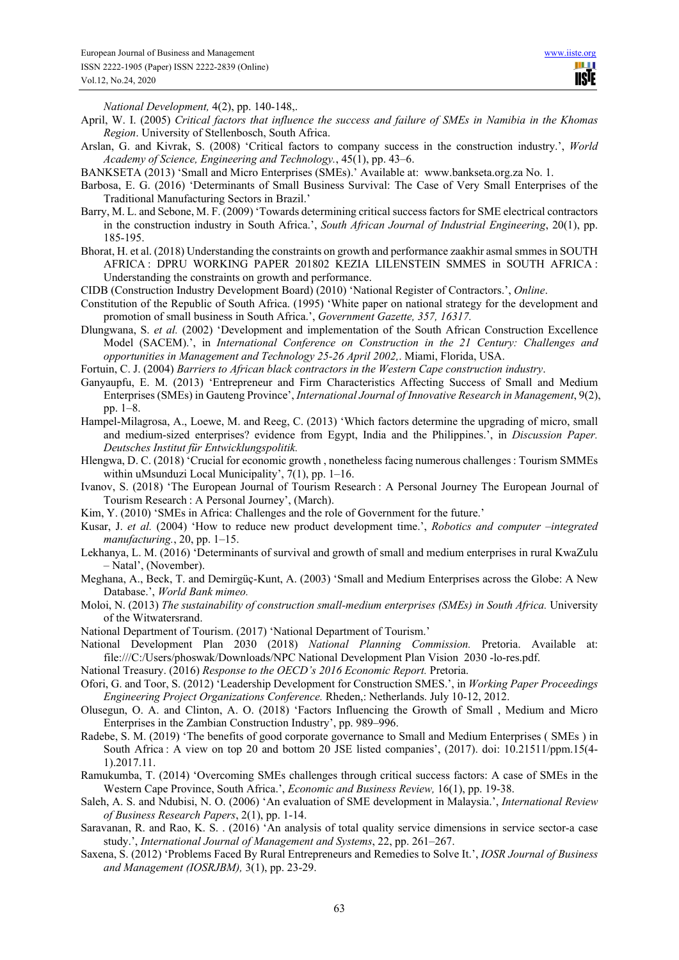<u> III</u> **USIE** 

*National Development,* 4(2), pp. 140-148,.

- April, W. I. (2005) *Critical factors that influence the success and failure of SMEs in Namibia in the Khomas Region*. University of Stellenbosch, South Africa.
- Arslan, G. and Kivrak, S. (2008) 'Critical factors to company success in the construction industry.', *World Academy of Science, Engineering and Technology.*, 45(1), pp. 43–6.
- BANKSETA (2013) 'Small and Micro Enterprises (SMEs).' Available at: www.bankseta.org.za No. 1.
- Barbosa, E. G. (2016) 'Determinants of Small Business Survival: The Case of Very Small Enterprises of the Traditional Manufacturing Sectors in Brazil.'
- Barry, M. L. and Sebone, M. F. (2009) 'Towards determining critical success factors for SME electrical contractors in the construction industry in South Africa.', *South African Journal of Industrial Engineering*, 20(1), pp. 185-195.
- Bhorat, H. et al. (2018) Understanding the constraints on growth and performance zaakhir asmal smmes in SOUTH AFRICA : DPRU WORKING PAPER 201802 KEZIA LILENSTEIN SMMES in SOUTH AFRICA : Understanding the constraints on growth and performance.
- CIDB (Construction Industry Development Board) (2010) 'National Register of Contractors.', *Online*.
- Constitution of the Republic of South Africa. (1995) 'White paper on national strategy for the development and promotion of small business in South Africa.', *Government Gazette, 357, 16317.*
- Dlungwana, S. *et al.* (2002) 'Development and implementation of the South African Construction Excellence Model (SACEM).', in *International Conference on Construction in the 21 Century: Challenges and opportunities in Management and Technology 25-26 April 2002,*. Miami, Florida, USA.
- Fortuin, C. J. (2004) *Barriers to African black contractors in the Western Cape construction industry*.
- Ganyaupfu, E. M. (2013) 'Entrepreneur and Firm Characteristics Affecting Success of Small and Medium Enterprises (SMEs) in Gauteng Province', *International Journal of Innovative Research in Management*, 9(2), pp. 1–8.
- Hampel-Milagrosa, A., Loewe, M. and Reeg, C. (2013) 'Which factors determine the upgrading of micro, small and medium-sized enterprises? evidence from Egypt, India and the Philippines.', in *Discussion Paper. Deutsches Institut für Entwicklungspolitik.*
- Hlengwa, D. C. (2018) 'Crucial for economic growth , nonetheless facing numerous challenges: Tourism SMMEs within uMsunduzi Local Municipality', 7(1), pp. 1–16.
- Ivanov, S. (2018) 'The European Journal of Tourism Research : A Personal Journey The European Journal of Tourism Research : A Personal Journey', (March).
- Kim, Y. (2010) 'SMEs in Africa: Challenges and the role of Government for the future.'
- Kusar, J. *et al.* (2004) 'How to reduce new product development time.', *Robotics and computer –integrated manufacturing.*, 20, pp. 1–15.
- Lekhanya, L. M. (2016) 'Determinants of survival and growth of small and medium enterprises in rural KwaZulu – Natal', (November).
- Meghana, A., Beck, T. and Demirgüç-Kunt, A. (2003) 'Small and Medium Enterprises across the Globe: A New Database.', *World Bank mimeo.*
- Moloi, N. (2013) *The sustainability of construction small‐medium enterprises (SMEs) in South Africa.* University of the Witwatersrand.
- National Department of Tourism. (2017) 'National Department of Tourism.'
- National Development Plan 2030 (2018) *National Planning Commission.* Pretoria. Available at: file:///C:/Users/phoswak/Downloads/NPC National Development Plan Vision 2030 -lo-res.pdf.
- National Treasury. (2016) *Response to the OECD's 2016 Economic Report.* Pretoria.
- Ofori, G. and Toor, S. (2012) 'Leadership Development for Construction SMES.', in *Working Paper Proceedings Engineering Project Organizations Conference.* Rheden,: Netherlands. July 10-12, 2012.
- Olusegun, O. A. and Clinton, A. O. (2018) 'Factors Influencing the Growth of Small , Medium and Micro Enterprises in the Zambian Construction Industry', pp. 989–996.
- Radebe, S. M. (2019) 'The benefits of good corporate governance to Small and Medium Enterprises ( SMEs ) in South Africa : A view on top 20 and bottom 20 JSE listed companies', (2017). doi: 10.21511/ppm.15(4- 1).2017.11.
- Ramukumba, T. (2014) 'Overcoming SMEs challenges through critical success factors: A case of SMEs in the Western Cape Province, South Africa.', *Economic and Business Review,* 16(1), pp. 19-38.
- Saleh, A. S. and Ndubisi, N. O. (2006) 'An evaluation of SME development in Malaysia.', *International Review of Business Research Papers*, 2(1), pp. 1-14.
- Saravanan, R. and Rao, K. S. . (2016) 'An analysis of total quality service dimensions in service sector-a case study.', *International Journal of Management and Systems*, 22, pp. 261–267.
- Saxena, S. (2012) 'Problems Faced By Rural Entrepreneurs and Remedies to Solve It.', *IOSR Journal of Business and Management (IOSRJBM),* 3(1), pp. 23-29.